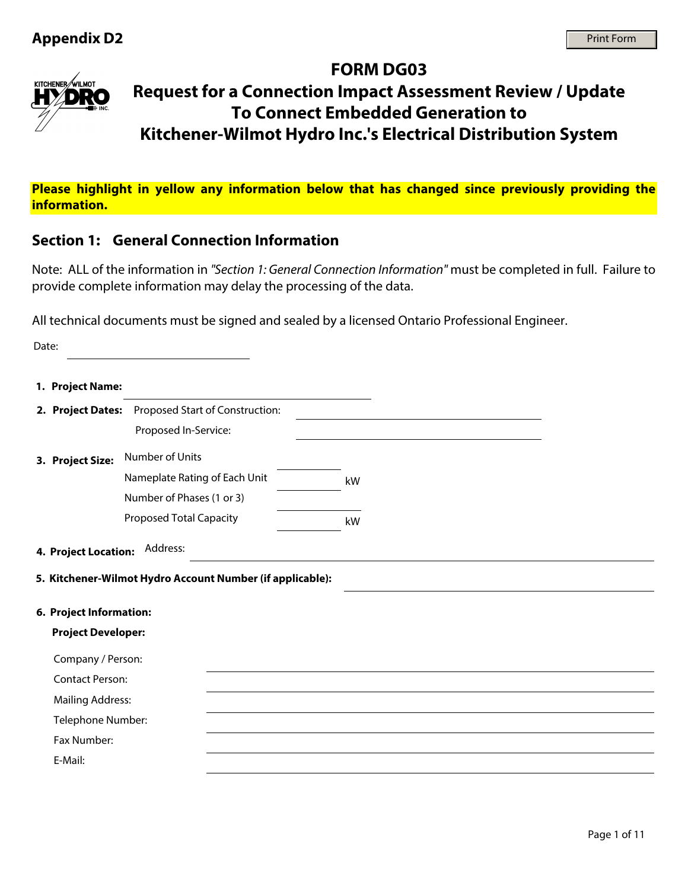

# **FORM DG03 Request for a Connection Impact Assessment Review / Update To Connect Embedded Generation to Kitchener-Wilmot Hydro Inc.'s Electrical Distribution System**

**Please highlight in yellow any information below that has changed since previously providing the information.**

# **Section 1: General Connection Information**

Note: ALL of the information in *"Section 1: General Connection Information"* must be completed in full. Failure to provide complete information may delay the processing of the data.

All technical documents must be signed and sealed by a licensed Ontario Professional Engineer.

| Date: |                           |                                                                       |                             |  |
|-------|---------------------------|-----------------------------------------------------------------------|-----------------------------|--|
|       | 1. Project Name:          |                                                                       |                             |  |
|       |                           | 2. Project Dates: Proposed Start of Construction:                     |                             |  |
|       |                           | Proposed In-Service:                                                  |                             |  |
|       | 3. Project Size:          | Number of Units                                                       |                             |  |
|       |                           | Nameplate Rating of Each Unit                                         | kW                          |  |
|       |                           | Number of Phases (1 or 3)                                             | $\left  \mathbf{v} \right $ |  |
|       |                           | <b>Proposed Total Capacity</b>                                        | kW                          |  |
|       | 4. Project Location:      | Address:<br>5. Kitchener-Wilmot Hydro Account Number (if applicable): |                             |  |
|       | 6. Project Information:   |                                                                       |                             |  |
|       | <b>Project Developer:</b> |                                                                       |                             |  |
|       | Company / Person:         |                                                                       |                             |  |
|       | <b>Contact Person:</b>    |                                                                       |                             |  |
|       | <b>Mailing Address:</b>   |                                                                       |                             |  |
|       | Telephone Number:         |                                                                       |                             |  |
|       | Fax Number:               |                                                                       |                             |  |
|       | E-Mail:                   |                                                                       |                             |  |
|       |                           |                                                                       |                             |  |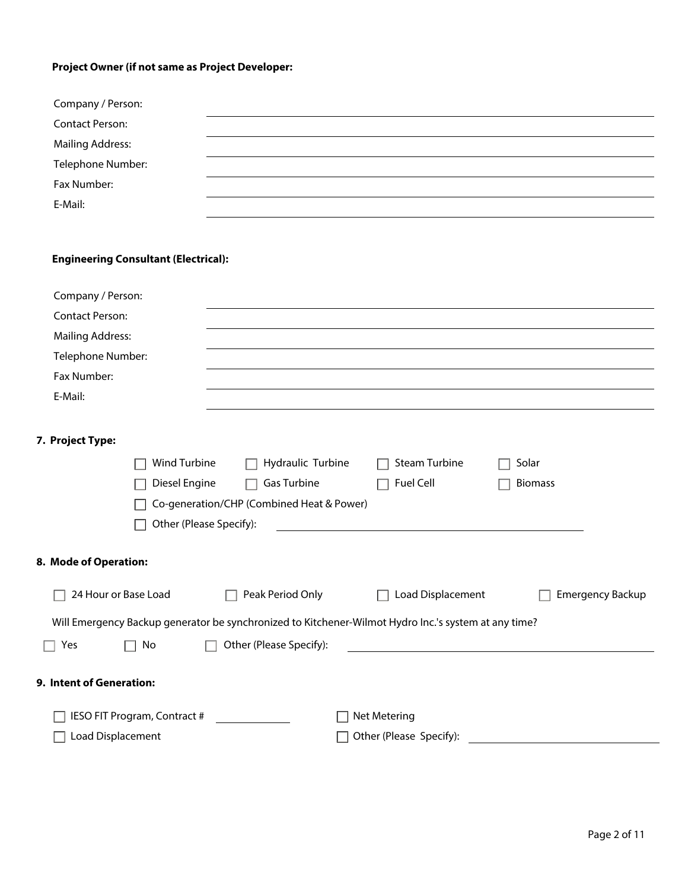### **Project Owner (if not same as Project Developer:**

| Company / Person:       |  |
|-------------------------|--|
| <b>Contact Person:</b>  |  |
| <b>Mailing Address:</b> |  |
| Telephone Number:       |  |
| Fax Number:             |  |
| E-Mail:                 |  |

#### **Engineering Consultant (Electrical):**

| Company / Person:            |                                           |                                                                                                      |                         |
|------------------------------|-------------------------------------------|------------------------------------------------------------------------------------------------------|-------------------------|
| <b>Contact Person:</b>       |                                           |                                                                                                      |                         |
| <b>Mailing Address:</b>      |                                           |                                                                                                      |                         |
| Telephone Number:            |                                           |                                                                                                      |                         |
| Fax Number:                  |                                           |                                                                                                      |                         |
| E-Mail:                      |                                           |                                                                                                      |                         |
|                              |                                           |                                                                                                      |                         |
| 7. Project Type:             |                                           |                                                                                                      |                         |
| Wind Turbine                 | Hydraulic Turbine                         | <b>Steam Turbine</b>                                                                                 | Solar                   |
| Diesel Engine                | Gas Turbine                               | Fuel Cell                                                                                            | <b>Biomass</b>          |
|                              | Co-generation/CHP (Combined Heat & Power) |                                                                                                      |                         |
| Other (Please Specify):      |                                           |                                                                                                      |                         |
|                              |                                           |                                                                                                      |                         |
| 8. Mode of Operation:        |                                           |                                                                                                      |                         |
| 24 Hour or Base Load         | Peak Period Only                          | Load Displacement                                                                                    | <b>Emergency Backup</b> |
|                              |                                           | Will Emergency Backup generator be synchronized to Kitchener-Wilmot Hydro Inc.'s system at any time? |                         |
| No<br>Yes                    | Other (Please Specify):                   |                                                                                                      |                         |
|                              |                                           |                                                                                                      |                         |
| 9. Intent of Generation:     |                                           |                                                                                                      |                         |
| IESO FIT Program, Contract # |                                           | Net Metering                                                                                         |                         |
| Load Displacement            |                                           | Other (Please Specify):                                                                              |                         |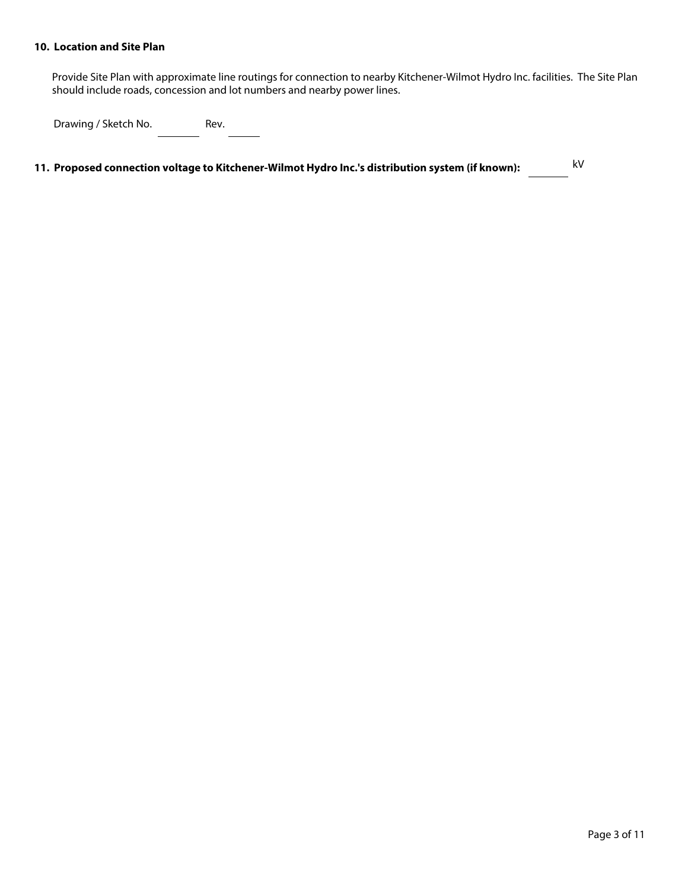#### **10. Location and Site Plan**

Provide Site Plan with approximate line routings for connection to nearby Kitchener-Wilmot Hydro Inc. facilities. The Site Plan should include roads, concession and lot numbers and nearby power lines.

Drawing / Sketch No. Rev.

 **11. Proposed connection voltage to Kitchener-Wilmot Hydro Inc.'s distribution system (if known):** kV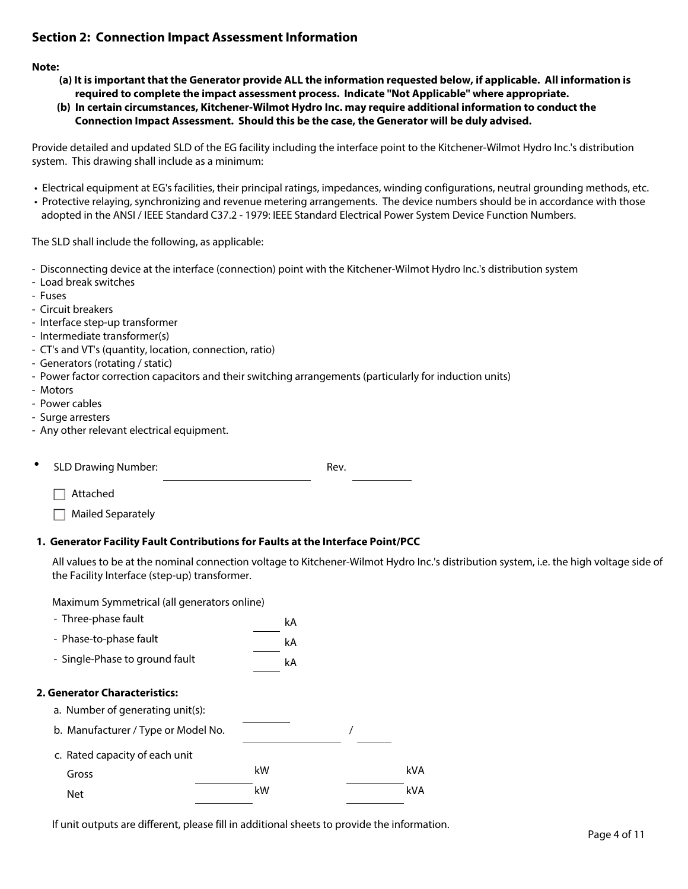### **Section 2: Connection Impact Assessment Information**

#### **Note:**

- **(a) It is important that the Generator provide ALL the information requested below, if applicable. All information is required to complete the impact assessment process. Indicate "Not Applicable" where appropriate.**
- **(b) In certain circumstances, Kitchener-Wilmot Hydro Inc. may require additional information to conduct the Connection Impact Assessment. Should this be the case, the Generator will be duly advised.**

Provide detailed and updated SLD of the EG facility including the interface point to the Kitchener-Wilmot Hydro Inc.'s distribution system. This drawing shall include as a minimum:

- Electrical equipment at EG's facilities, their principal ratings, impedances, winding configurations, neutral grounding methods, etc.
- Protective relaying, synchronizing and revenue metering arrangements. The device numbers should be in accordance with those adopted in the ANSI / IEEE Standard C37.2 - 1979: IEEE Standard Electrical Power System Device Function Numbers.

The SLD shall include the following, as applicable:

- Disconnecting device at the interface (connection) point with the Kitchener-Wilmot Hydro Inc.'s distribution system
- Load break switches
- Fuses
- Circuit breakers
- Interface step-up transformer
- Intermediate transformer(s)
- CT's and VT's (quantity, location, connection, ratio)
- Generators (rotating / static)
- Power factor correction capacitors and their switching arrangements (particularly for induction units)
- Motors
- Power cables
- Surge arresters
- Any other relevant electrical equipment.

**SLD Drawing Number:** Rev.

 $\Box$  Attached

 $\Box$  Mailed Separately

#### **1. Generator Facility Fault Contributions for Faults at the Interface Point/PCC**

All values to be at the nominal connection voltage to Kitchener-Wilmot Hydro Inc.'s distribution system, i.e. the high voltage side of the Facility Interface (step-up) transformer.

Maximum Symmetrical (all generators online)

| - Three-phase fault                                               | kA |     |
|-------------------------------------------------------------------|----|-----|
| - Phase-to-phase fault                                            | kA |     |
| - Single-Phase to ground fault                                    | kA |     |
| 2. Generator Characteristics:<br>a. Number of generating unit(s): |    |     |
| b. Manufacturer / Type or Model No.                               |    |     |
| c. Rated capacity of each unit                                    |    |     |
| Gross                                                             | kW | kVA |
| <b>Net</b>                                                        | kW | kVA |

If unit outputs are different, please fill in additional sheets to provide the information.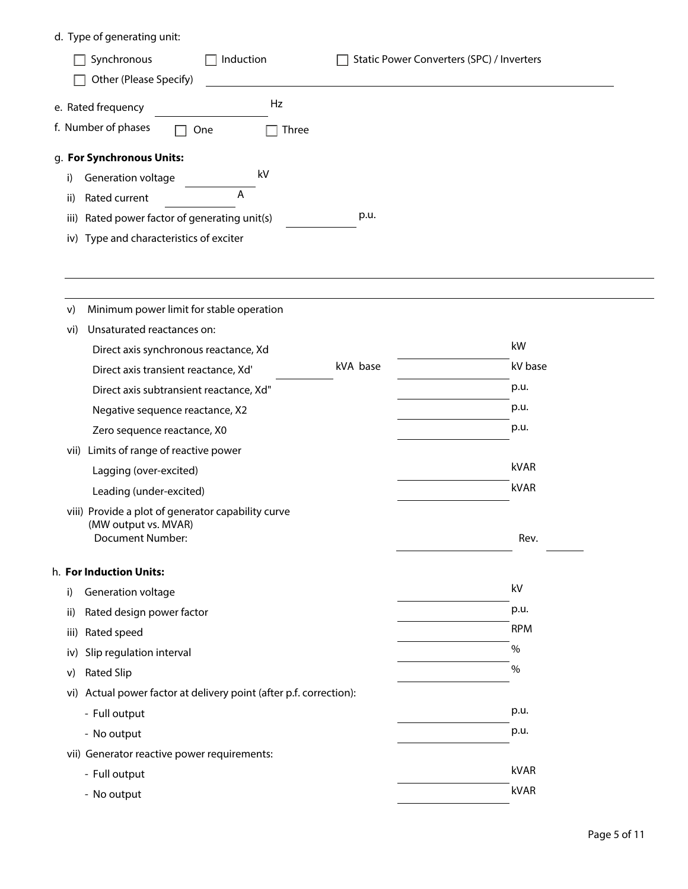# d. Type of generating unit:

|                                           | Induction<br>Synchronous                 |             | Static Power Converters (SPC) / Inverters |
|-------------------------------------------|------------------------------------------|-------------|-------------------------------------------|
|                                           | Other (Please Specify)                   |             |                                           |
| e. Rated frequency<br>f. Number of phases | One                                      | Hz<br>Three |                                           |
|                                           |                                          |             |                                           |
|                                           | g. For Synchronous Units:                |             |                                           |
| i)                                        | <b>Generation voltage</b>                | kV          |                                           |
| ii)                                       | A<br>Rated current                       |             |                                           |
| iii)                                      | Rated power factor of generating unit(s) |             | p.u.                                      |
|                                           | iv) Type and characteristics of exciter  |             |                                           |

| Minimum power limit for stable operation                           |                                                                                                                         |              |    |
|--------------------------------------------------------------------|-------------------------------------------------------------------------------------------------------------------------|--------------|----|
| Unsaturated reactances on:                                         |                                                                                                                         |              |    |
| Direct axis synchronous reactance, Xd                              |                                                                                                                         | kW           |    |
| Direct axis transient reactance, Xd'                               | kVA base                                                                                                                | kV base      |    |
| Direct axis subtransient reactance, Xd"                            |                                                                                                                         | p.u.         |    |
| Negative sequence reactance, X2                                    |                                                                                                                         | p.u.         |    |
| Zero sequence reactance, X0                                        |                                                                                                                         | p.u.         |    |
|                                                                    |                                                                                                                         |              |    |
| Lagging (over-excited)                                             |                                                                                                                         | kVAR         |    |
| Leading (under-excited)                                            |                                                                                                                         | kVAR         |    |
| (MW output vs. MVAR)<br><b>Document Number:</b>                    |                                                                                                                         | Rev.         |    |
|                                                                    |                                                                                                                         |              |    |
| Generation voltage                                                 |                                                                                                                         |              |    |
|                                                                    |                                                                                                                         |              |    |
| Rated design power factor                                          |                                                                                                                         | p.u.         |    |
| Rated speed                                                        |                                                                                                                         | <b>RPM</b>   |    |
| Slip regulation interval                                           |                                                                                                                         | %            |    |
| <b>Rated Slip</b>                                                  |                                                                                                                         | %            |    |
| vi) Actual power factor at delivery point (after p.f. correction): |                                                                                                                         |              |    |
| - Full output                                                      |                                                                                                                         | p.u.         |    |
| - No output                                                        |                                                                                                                         | p.u.         |    |
| vii) Generator reactive power requirements:                        |                                                                                                                         |              |    |
| - Full output                                                      |                                                                                                                         | kVAR<br>kVAR |    |
|                                                                    | vii) Limits of range of reactive power<br>viii) Provide a plot of generator capability curve<br>h. For Induction Units: |              | kV |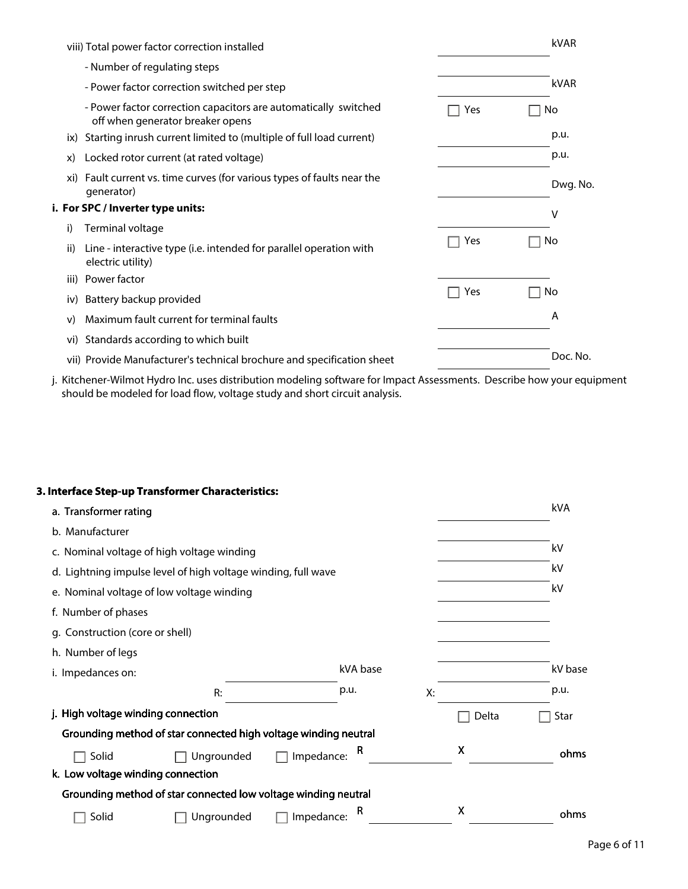|      | viii) Total power factor correction installed                                                       |     |    | kVAR     |
|------|-----------------------------------------------------------------------------------------------------|-----|----|----------|
|      | - Number of regulating steps                                                                        |     |    |          |
|      | - Power factor correction switched per step                                                         |     |    | kVAR     |
|      | - Power factor correction capacitors are automatically switched<br>off when generator breaker opens | Yes |    | No       |
| ix)  | Starting inrush current limited to (multiple of full load current)                                  |     |    | p.u.     |
| X)   | Locked rotor current (at rated voltage)                                                             |     |    | p.u.     |
| xi)  | Fault current vs. time curves (for various types of faults near the<br>generator)                   |     |    | Dwg. No. |
|      | i. For SPC / Inverter type units:                                                                   |     |    | ٧        |
| i)   | Terminal voltage                                                                                    |     |    |          |
| ii)  | Line - interactive type (i.e. intended for parallel operation with<br>electric utility)             | Yes | No |          |
| iii) | Power factor                                                                                        |     |    |          |
| iv)  | Battery backup provided                                                                             | Yes | No |          |
| V)   | Maximum fault current for terminal faults                                                           |     |    | A        |
| vi)  | Standards according to which built                                                                  |     |    |          |
|      | vii) Provide Manufacturer's technical brochure and specification sheet                              |     |    | Doc. No. |

j. Kitchener-Wilmot Hydro Inc. uses distribution modeling software for Impact Assessments. Describe how your equipment should be modeled for load flow, voltage study and short circuit analysis.

#### **3. Interface Step-up Transformer Characteristics:**

| a. Transformer rating                                               |                                                                 |            |          |    |       | kVA     |
|---------------------------------------------------------------------|-----------------------------------------------------------------|------------|----------|----|-------|---------|
| b. Manufacturer                                                     |                                                                 |            |          |    |       |         |
| c. Nominal voltage of high voltage winding                          |                                                                 |            |          |    |       | kV      |
| kV<br>d. Lightning impulse level of high voltage winding, full wave |                                                                 |            |          |    |       |         |
| e. Nominal voltage of low voltage winding                           |                                                                 |            |          |    |       |         |
| f. Number of phases                                                 |                                                                 |            |          |    |       |         |
| g. Construction (core or shell)                                     |                                                                 |            |          |    |       |         |
| h. Number of legs                                                   |                                                                 |            |          |    |       |         |
| i. Impedances on:                                                   |                                                                 |            | kVA base |    |       | kV base |
|                                                                     | R:                                                              |            | p.u.     | Х: |       | p.u.    |
| j. High voltage winding connection                                  |                                                                 |            |          |    | Delta | Star    |
|                                                                     | Grounding method of star connected high voltage winding neutral |            |          |    |       |         |
| Solid                                                               | Ungrounded                                                      | Impedance: | R        |    | X     | ohms    |
| k. Low voltage winding connection                                   |                                                                 |            |          |    |       |         |
|                                                                     | Grounding method of star connected low voltage winding neutral  |            |          |    |       |         |
| Solid                                                               | Ungrounded                                                      | Impedance: | R        |    | X     | ohms    |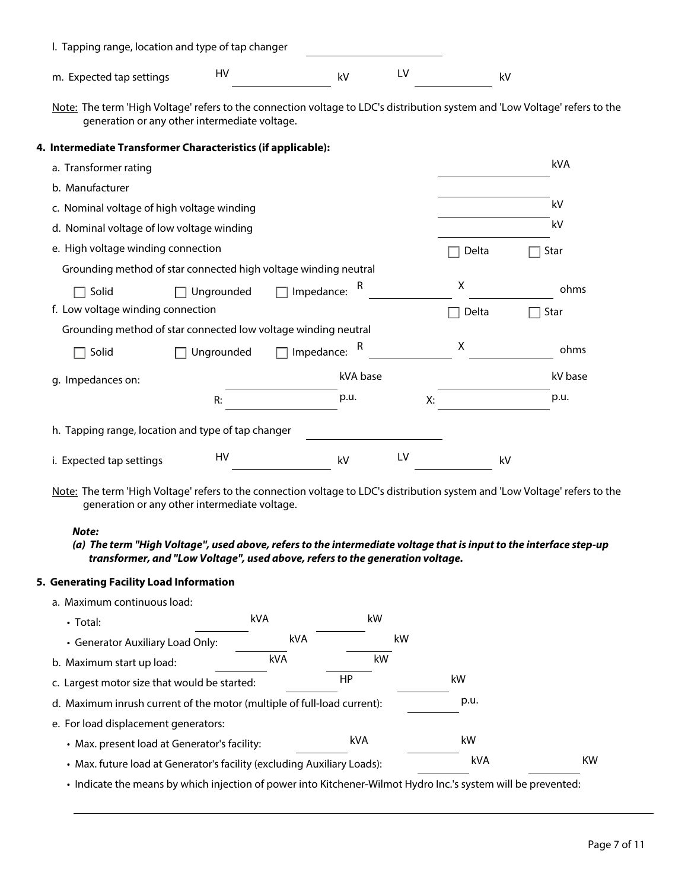| m. Expected tap settings                                                                                                                                                     | HV         |                   | kV       | LV |       | kV |         |
|------------------------------------------------------------------------------------------------------------------------------------------------------------------------------|------------|-------------------|----------|----|-------|----|---------|
| Note: The term 'High Voltage' refers to the connection voltage to LDC's distribution system and 'Low Voltage' refers to the<br>generation or any other intermediate voltage. |            |                   |          |    |       |    |         |
| 4. Intermediate Transformer Characteristics (if applicable):                                                                                                                 |            |                   |          |    |       |    |         |
| a. Transformer rating                                                                                                                                                        |            |                   |          |    |       |    | kVA     |
| b. Manufacturer                                                                                                                                                              |            |                   |          |    |       |    |         |
| c. Nominal voltage of high voltage winding                                                                                                                                   |            |                   |          |    |       |    | kV      |
| d. Nominal voltage of low voltage winding                                                                                                                                    |            |                   |          |    |       |    | kV      |
| e. High voltage winding connection                                                                                                                                           |            |                   |          |    | Delta |    | Star    |
| Grounding method of star connected high voltage winding neutral                                                                                                              |            |                   |          |    |       |    |         |
| Solid                                                                                                                                                                        | Ungrounded | $\Box$ Impedance: | R        |    | X     |    | ohms    |
| f. Low voltage winding connection                                                                                                                                            |            |                   |          |    | Delta |    | Star    |
| Grounding method of star connected low voltage winding neutral                                                                                                               |            |                   |          |    |       |    |         |
| Solid                                                                                                                                                                        | Ungrounded | $\Box$ Impedance: |          |    | X     |    | ohms    |
| g. Impedances on:                                                                                                                                                            |            |                   | kVA base |    |       |    | kV base |
|                                                                                                                                                                              | R:         |                   | p.u.     | X: |       |    | p.u.    |
| h. Tapping range, location and type of tap changer                                                                                                                           |            |                   |          |    |       |    |         |
| i. Expected tap settings                                                                                                                                                     | HV         |                   | kV       | LV |       | kV |         |
| Note: The term 'High Voltage' refers to the connection voltage to LDC's distribution system and 'Low Voltage' refers to the<br>generation or any other intermediate voltage. |            |                   |          |    |       |    |         |
| Note:                                                                                                                                                                        |            |                   |          |    |       |    |         |
| (a) The term "High Voltage", used above, refers to the intermediate voltage that is input to the interface step-up                                                           |            |                   |          |    |       |    |         |

# **5. Generating Facility Load Information**

| a. Maximum continuous load:                                                                                   |            |     |      |           |
|---------------------------------------------------------------------------------------------------------------|------------|-----|------|-----------|
| $\cdot$ Total:                                                                                                | <b>kVA</b> | kW  |      |           |
| • Generator Auxiliary Load Only:                                                                              | kVA        |     | kW   |           |
| b. Maximum start up load:                                                                                     | kVA        | kW  |      |           |
| c. Largest motor size that would be started:                                                                  |            | HP  | kW   |           |
| d. Maximum inrush current of the motor (multiple of full-load current):                                       |            |     | p.u. |           |
| e. For load displacement generators:                                                                          |            |     |      |           |
| • Max. present load at Generator's facility:                                                                  |            | kVA | kW   |           |
| • Max. future load at Generator's facility (excluding Auxiliary Loads):                                       |            |     | kVA  | <b>KW</b> |
| • Indicate the means by which injection of power into Kitchener-Wilmot Hydro Inc.'s system will be prevented: |            |     |      |           |

Page 7 of 11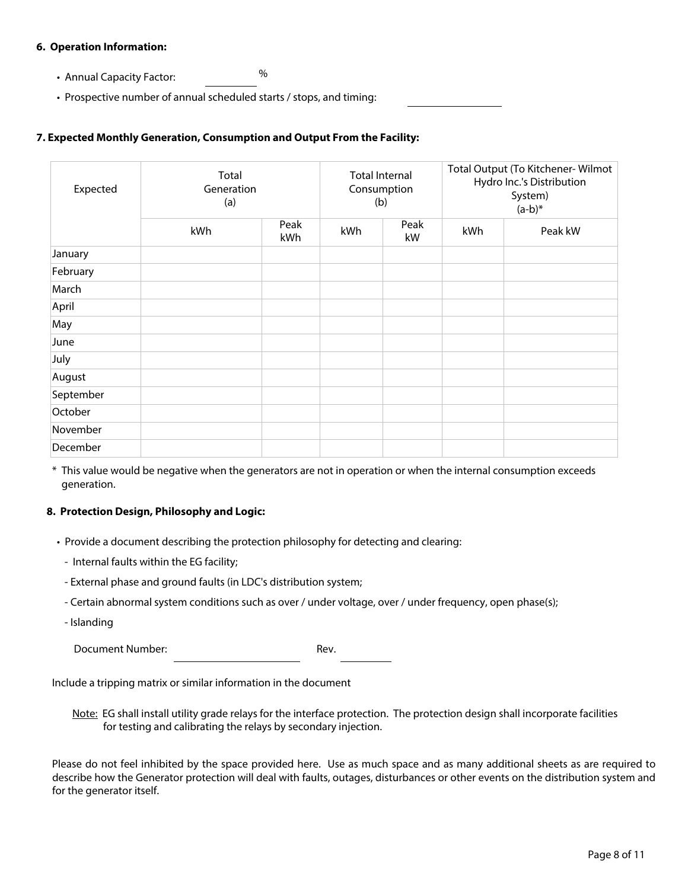#### **6. Operation Information:**

- Annual Capacity Factor: %
- Prospective number of annual scheduled starts / stops, and timing:

#### **7. Expected Monthly Generation, Consumption and Output From the Facility:**

| Expected  | Total<br>Generation<br>(a) |             | <b>Total Internal</b><br>Consumption<br>(b) |            |     | Total Output (To Kitchener-Wilmot<br>Hydro Inc.'s Distribution<br>System)<br>$(a-b)^*$ |
|-----------|----------------------------|-------------|---------------------------------------------|------------|-----|----------------------------------------------------------------------------------------|
|           | kWh                        | Peak<br>kWh | kWh                                         | Peak<br>kW | kWh | Peak kW                                                                                |
| January   |                            |             |                                             |            |     |                                                                                        |
| February  |                            |             |                                             |            |     |                                                                                        |
| March     |                            |             |                                             |            |     |                                                                                        |
| April     |                            |             |                                             |            |     |                                                                                        |
| May       |                            |             |                                             |            |     |                                                                                        |
| June      |                            |             |                                             |            |     |                                                                                        |
| July      |                            |             |                                             |            |     |                                                                                        |
| August    |                            |             |                                             |            |     |                                                                                        |
| September |                            |             |                                             |            |     |                                                                                        |
| October   |                            |             |                                             |            |     |                                                                                        |
| November  |                            |             |                                             |            |     |                                                                                        |
| December  |                            |             |                                             |            |     |                                                                                        |

\* This value would be negative when the generators are not in operation or when the internal consumption exceeds generation.

#### **8. Protection Design, Philosophy and Logic:**

- Provide a document describing the protection philosophy for detecting and clearing:
	- Internal faults within the EG facility;
	- External phase and ground faults (in LDC's distribution system;
	- Certain abnormal system conditions such as over / under voltage, over / under frequency, open phase(s);
	- Islanding

Document Number: National Contract Rev.

Include a tripping matrix or similar information in the document

Note: EG shall install utility grade relays for the interface protection. The protection design shall incorporate facilities for testing and calibrating the relays by secondary injection.

Please do not feel inhibited by the space provided here. Use as much space and as many additional sheets as are required to describe how the Generator protection will deal with faults, outages, disturbances or other events on the distribution system and for the generator itself.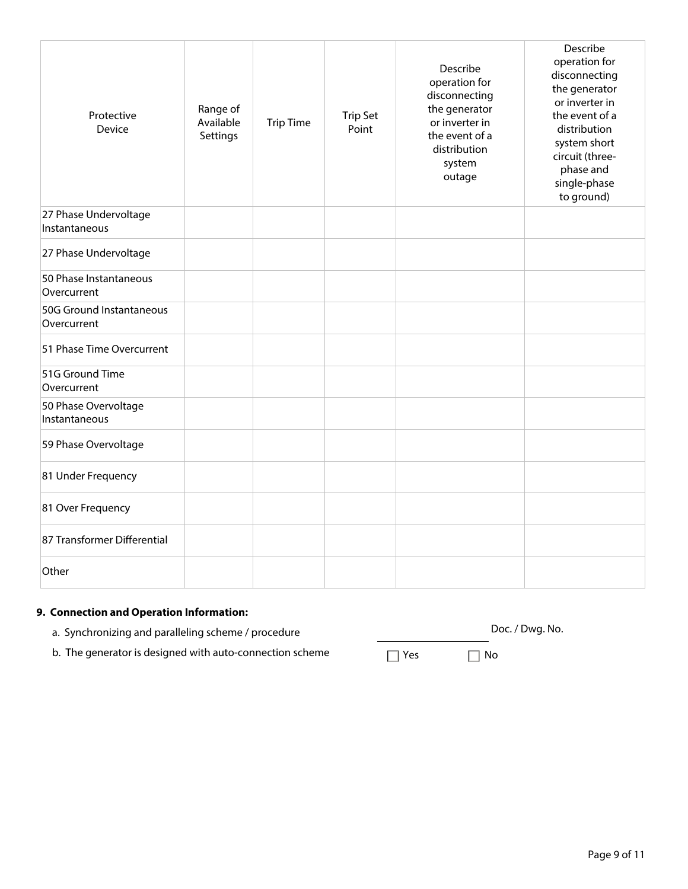| Protective<br>Device                    | Range of<br>Available<br>Settings | <b>Trip Time</b> | <b>Trip Set</b><br>Point | Describe<br>operation for<br>disconnecting<br>the generator<br>or inverter in<br>the event of a<br>distribution<br>system<br>outage | Describe<br>operation for<br>disconnecting<br>the generator<br>or inverter in<br>the event of a<br>distribution<br>system short<br>circuit (three-<br>phase and<br>single-phase<br>to ground) |
|-----------------------------------------|-----------------------------------|------------------|--------------------------|-------------------------------------------------------------------------------------------------------------------------------------|-----------------------------------------------------------------------------------------------------------------------------------------------------------------------------------------------|
| 27 Phase Undervoltage<br>Instantaneous  |                                   |                  |                          |                                                                                                                                     |                                                                                                                                                                                               |
| 27 Phase Undervoltage                   |                                   |                  |                          |                                                                                                                                     |                                                                                                                                                                                               |
| 50 Phase Instantaneous<br>Overcurrent   |                                   |                  |                          |                                                                                                                                     |                                                                                                                                                                                               |
| 50G Ground Instantaneous<br>Overcurrent |                                   |                  |                          |                                                                                                                                     |                                                                                                                                                                                               |
| 51 Phase Time Overcurrent               |                                   |                  |                          |                                                                                                                                     |                                                                                                                                                                                               |
| 51G Ground Time<br>Overcurrent          |                                   |                  |                          |                                                                                                                                     |                                                                                                                                                                                               |
| 50 Phase Overvoltage<br>Instantaneous   |                                   |                  |                          |                                                                                                                                     |                                                                                                                                                                                               |
| 59 Phase Overvoltage                    |                                   |                  |                          |                                                                                                                                     |                                                                                                                                                                                               |
| 81 Under Frequency                      |                                   |                  |                          |                                                                                                                                     |                                                                                                                                                                                               |
| 81 Over Frequency                       |                                   |                  |                          |                                                                                                                                     |                                                                                                                                                                                               |
| 87 Transformer Differential             |                                   |                  |                          |                                                                                                                                     |                                                                                                                                                                                               |
| Other                                   |                                   |                  |                          |                                                                                                                                     |                                                                                                                                                                                               |

# **9. Connection and Operation Information:**

- a. Synchronizing and paralleling scheme / procedure do not all the Doc. / Dwg. No.
- b. The generator is designed with auto-connection scheme  $\Box$  Yes  $\Box$  No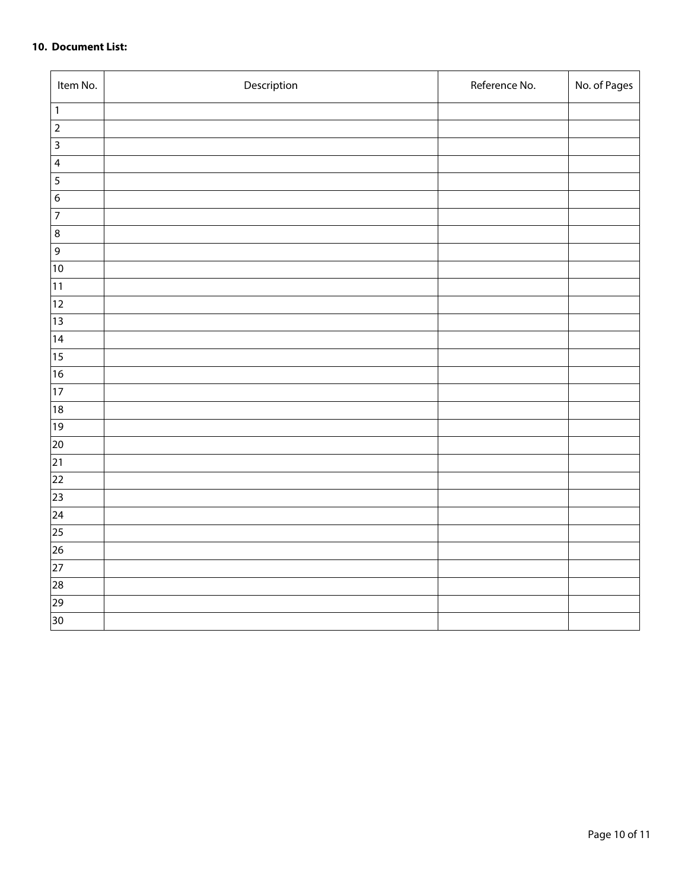#### **10. Document List:**

| Item No.                | Description | Reference No. | No. of Pages |
|-------------------------|-------------|---------------|--------------|
| $\mathbf{1}$            |             |               |              |
| $\overline{2}$          |             |               |              |
| $\overline{\mathbf{3}}$ |             |               |              |
| $\overline{\mathbf{4}}$ |             |               |              |
| $\overline{5}$          |             |               |              |
| $\boldsymbol{6}$        |             |               |              |
| $\overline{7}$          |             |               |              |
| $\bf 8$                 |             |               |              |
| $\overline{9}$          |             |               |              |
| $\overline{10}$         |             |               |              |
| 11                      |             |               |              |
| $ 12\rangle$            |             |               |              |
| $ 13\rangle$            |             |               |              |
| 14                      |             |               |              |
| 15                      |             |               |              |
| 16                      |             |               |              |
| $\overline{17}$         |             |               |              |
| 18                      |             |               |              |
| $ 19\rangle$            |             |               |              |
| 20                      |             |               |              |
| $\overline{21}$         |             |               |              |
| 22                      |             |               |              |
| $\overline{23}$         |             |               |              |
| $\overline{24}$         |             |               |              |
| $\overline{25}$         |             |               |              |
| $\overline{26}$         |             |               |              |
| $\overline{27}$         |             |               |              |
| $\overline{28}$         |             |               |              |
| 29                      |             |               |              |
| 30                      |             |               |              |